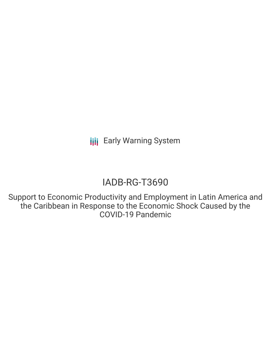# IADB-RG-T3690

Support to Economic Productivity and Employment in Latin America and the Caribbean in Response to the Economic Shock Caused by the COVID-19 Pandemic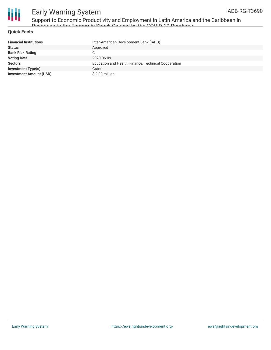

Support to Economic Productivity and Employment in Latin America and the Caribbean in Response to the Economic Shock Caused by the COVID-19 Pandemic

#### **Quick Facts**

| <b>Financial Institutions</b>  | Inter-American Development Bank (IADB)               |
|--------------------------------|------------------------------------------------------|
| <b>Status</b>                  | Approved                                             |
| <b>Bank Risk Rating</b>        |                                                      |
| <b>Voting Date</b>             | 2020-06-09                                           |
| <b>Sectors</b>                 | Education and Health, Finance, Technical Cooperation |
| <b>Investment Type(s)</b>      | Grant                                                |
| <b>Investment Amount (USD)</b> | \$2.00 million                                       |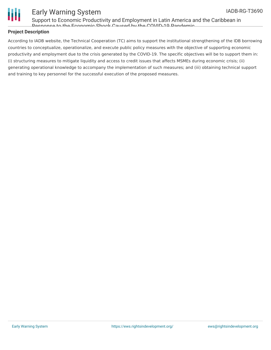

Support to Economic Productivity and Employment in Latin America and the Caribbean in Response to the Economic Shock Caused by the COVID-19 Pandemic

#### **Project Description**

According to IADB website, the Technical Cooperation (TC) aims to support the institutional strengthening of the IDB borrowing countries to conceptualize, operationalize, and execute public policy measures with the objective of supporting economic productivity and employment due to the crisis generated by the COVID-19. The specific objectives will be to support them in: (i) structuring measures to mitigate liquidity and access to credit issues that affects MSMEs during economic crisis; (ii) generating operational knowledge to accompany the implementation of such measures; and (iii) obtaining technical support and training to key personnel for the successful execution of the proposed measures.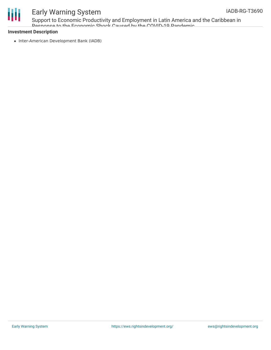

Support to Economic Productivity and Employment in Latin America and the Caribbean in Response to the Economic Shock Caused by the COVID-19 Pandemic

#### **Investment Description**

• Inter-American Development Bank (IADB)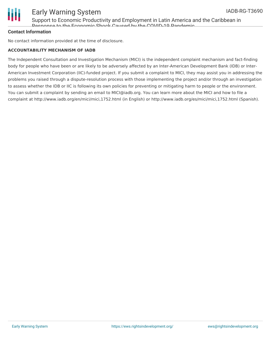

Support to Economic Productivity and Employment in Latin America and the Caribbean in Response to the Economic Shock Caused by the COVID-19 Pandemic

#### **Contact Information**

No contact information provided at the time of disclosure.

#### **ACCOUNTABILITY MECHANISM OF IADB**

The Independent Consultation and Investigation Mechanism (MICI) is the independent complaint mechanism and fact-finding body for people who have been or are likely to be adversely affected by an Inter-American Development Bank (IDB) or Inter-American Investment Corporation (IIC)-funded project. If you submit a complaint to MICI, they may assist you in addressing the problems you raised through a dispute-resolution process with those implementing the project and/or through an investigation to assess whether the IDB or IIC is following its own policies for preventing or mitigating harm to people or the environment. You can submit a complaint by sending an email to MICI@iadb.org. You can learn more about the MICI and how to file a complaint at http://www.iadb.org/en/mici/mici,1752.html (in English) or http://www.iadb.org/es/mici/mici,1752.html (Spanish).